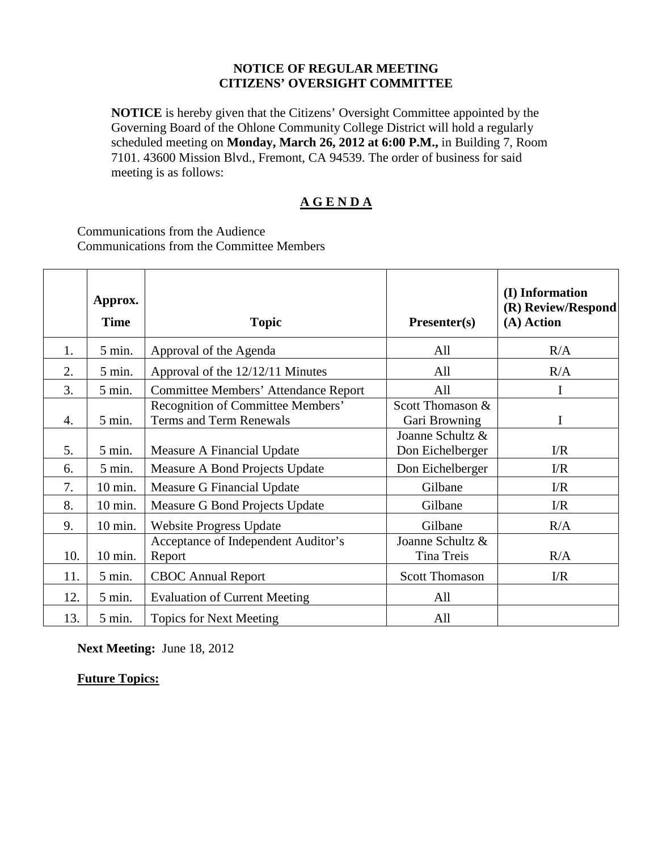## **NOTICE OF REGULAR MEETING CITIZENS' OVERSIGHT COMMITTEE**

## **A G E N D A**